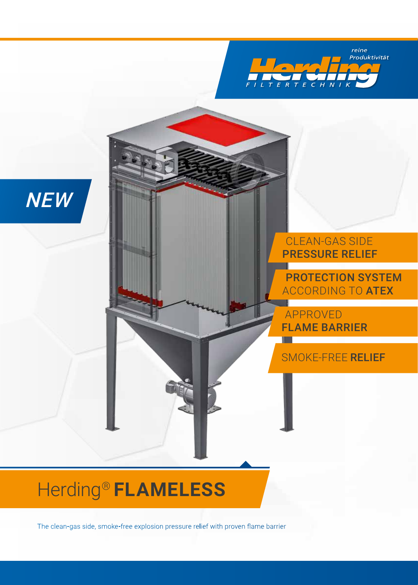



CLEAN-GAS SIDE PRESSURE RELIEF

PROTECTION SYSTEM ACCORDING TO ATEX

APPROVED FLAME BARRIER

#### SMOKE-FREE RELIEF

# Herding® **FLAMELESS**

The clean-gas side, smoke-free explosion pressure relief with proven flame barrier